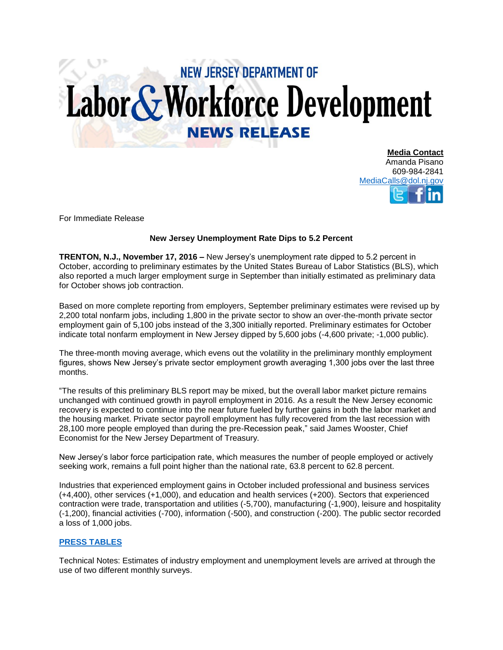## **NEW JERSEY DEPARTMENT OF** Labor & Workforce Development **NEWS RELEASE**

**Media Contact** Amanda Pisano 609-984-2841 [MediaCalls@dol.nj.gov](mailto:MediaCalls@dol.nj.gov)

For Immediate Release

## **New Jersey Unemployment Rate Dips to 5.2 Percent**

**TRENTON, N.J., November 17, 2016 –** New Jersey's unemployment rate dipped to 5.2 percent in October, according to preliminary estimates by the United States Bureau of Labor Statistics (BLS), which also reported a much larger employment surge in September than initially estimated as preliminary data for October shows job contraction.

Based on more complete reporting from employers, September preliminary estimates were revised up by 2,200 total nonfarm jobs, including 1,800 in the private sector to show an over-the-month private sector employment gain of 5,100 jobs instead of the 3,300 initially reported. Preliminary estimates for October indicate total nonfarm employment in New Jersey dipped by 5,600 jobs (-4,600 private; -1,000 public).

The three-month moving average, which evens out the volatility in the preliminary monthly employment figures, shows New Jersey's private sector employment growth averaging 1,300 jobs over the last three months.

"The results of this preliminary BLS report may be mixed, but the overall labor market picture remains unchanged with continued growth in payroll employment in 2016. As a result the New Jersey economic recovery is expected to continue into the near future fueled by further gains in both the labor market and the housing market. Private sector payroll employment has fully recovered from the last recession with 28,100 more people employed than during the pre-Recession peak," said James Wooster, Chief Economist for the New Jersey Department of Treasury.

New Jersey's labor force participation rate, which measures the number of people employed or actively seeking work, remains a full point higher than the national rate, 63.8 percent to 62.8 percent.

Industries that experienced employment gains in October included professional and business services (+4,400), other services (+1,000), and education and health services (+200). Sectors that experienced contraction were trade, transportation and utilities (-5,700), manufacturing (-1,900), leisure and hospitality (-1,200), financial activities (-700), information (-500), and construction (-200). The public sector recorded a loss of 1,000 jobs.

## **[PRESS TABLES](http://lwd.dol.state.nj.us/labor/forms_pdfs/lwdhome/press/2016/20161117UITables.pdf)**

Technical Notes: Estimates of industry employment and unemployment levels are arrived at through the use of two different monthly surveys.